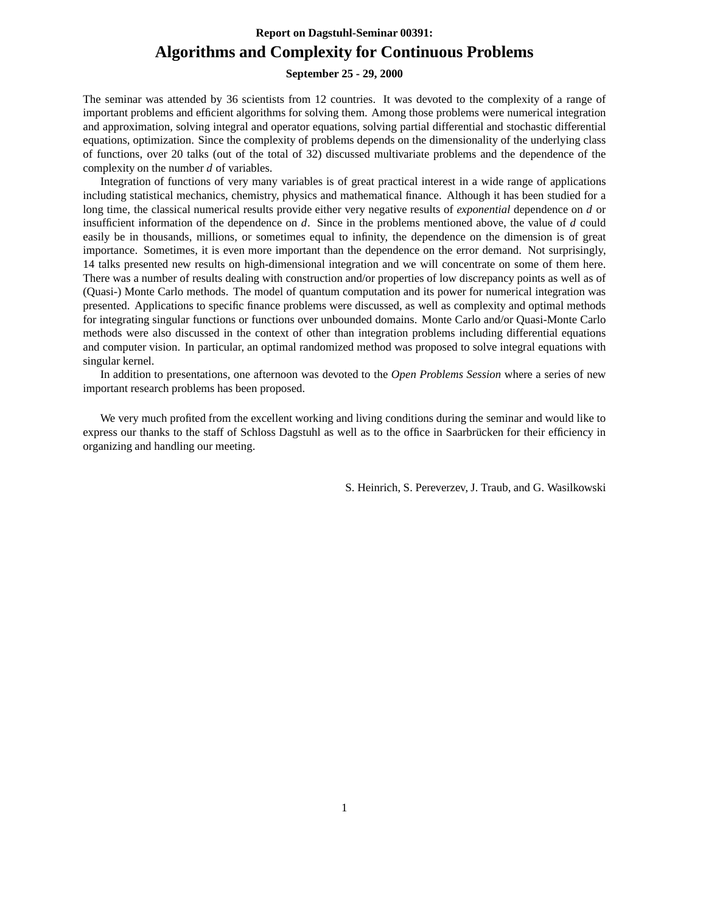### **Report on Dagstuhl-Seminar 00391: Algorithms and Complexity for Continuous Problems**

#### **September 25 - 29, 2000**

The seminar was attended by 36 scientists from 12 countries. It was devoted to the complexity of a range of important problems and efficient algorithms for solving them. Among those problems were numerical integration and approximation, solving integral and operator equations, solving partial differential and stochastic differential equations, optimization. Since the complexity of problems depends on the dimensionality of the underlying class of functions, over 20 talks (out of the total of 32) discussed multivariate problems and the dependence of the complexity on the number *d* of variables.

Integration of functions of very many variables is of great practical interest in a wide range of applications including statistical mechanics, chemistry, physics and mathematical finance. Although it has been studied for a long time, the classical numerical results provide either very negative results of *exponential* dependence on *d* or insufficient information of the dependence on *d*. Since in the problems mentioned above, the value of *d* could easily be in thousands, millions, or sometimes equal to infinity, the dependence on the dimension is of great importance. Sometimes, it is even more important than the dependence on the error demand. Not surprisingly, 14 talks presented new results on high-dimensional integration and we will concentrate on some of them here. There was a number of results dealing with construction and/or properties of low discrepancy points as well as of (Quasi-) Monte Carlo methods. The model of quantum computation and its power for numerical integration was presented. Applications to specific finance problems were discussed, as well as complexity and optimal methods for integrating singular functions or functions over unbounded domains. Monte Carlo and/or Quasi-Monte Carlo methods were also discussed in the context of other than integration problems including differential equations and computer vision. In particular, an optimal randomized method was proposed to solve integral equations with singular kernel.

In addition to presentations, one afternoon was devoted to the *Open Problems Session* where a series of new important research problems has been proposed.

We very much profited from the excellent working and living conditions during the seminar and would like to express our thanks to the staff of Schloss Dagstuhl as well as to the office in Saarbrücken for their efficiency in organizing and handling our meeting.

S. Heinrich, S. Pereverzev, J. Traub, and G. Wasilkowski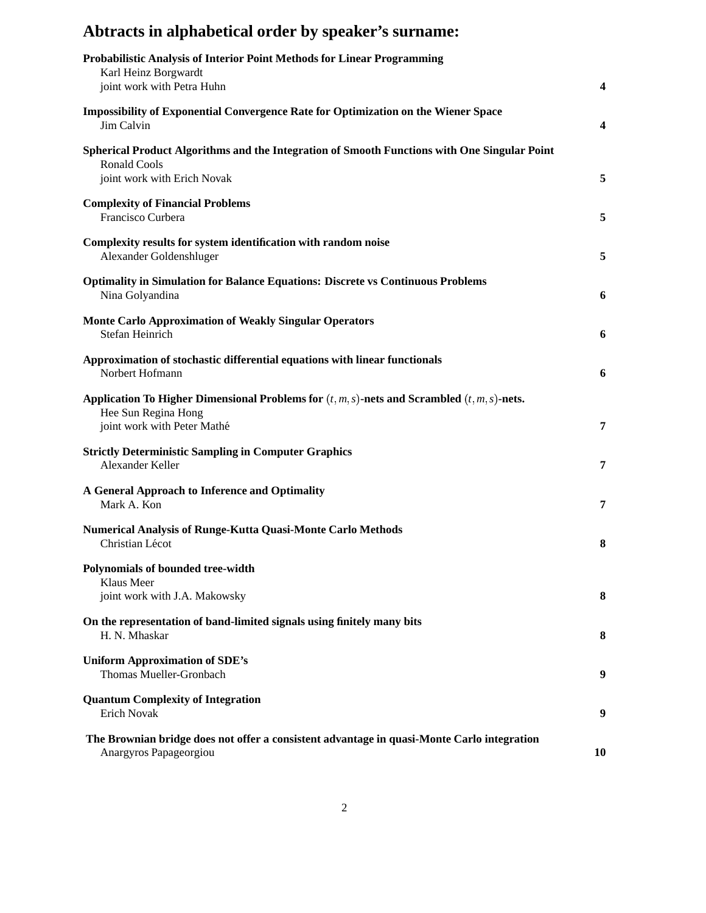# **Abtracts in alphabetical order by speaker's surname:**

| <b>Probabilistic Analysis of Interior Point Methods for Linear Programming</b><br>Karl Heinz Borgwardt<br>joint work with Petra Huhn                    | 4         |
|---------------------------------------------------------------------------------------------------------------------------------------------------------|-----------|
| <b>Impossibility of Exponential Convergence Rate for Optimization on the Wiener Space</b><br>Jim Calvin                                                 | 4         |
| Spherical Product Algorithms and the Integration of Smooth Functions with One Singular Point<br><b>Ronald Cools</b><br>joint work with Erich Novak      | 5         |
| <b>Complexity of Financial Problems</b><br>Francisco Curbera                                                                                            | 5         |
| Complexity results for system identification with random noise<br>Alexander Goldenshluger                                                               | 5         |
| <b>Optimality in Simulation for Balance Equations: Discrete vs Continuous Problems</b><br>Nina Golyandina                                               | 6         |
| <b>Monte Carlo Approximation of Weakly Singular Operators</b><br>Stefan Heinrich                                                                        | 6         |
| Approximation of stochastic differential equations with linear functionals<br>Norbert Hofmann                                                           | 6         |
| Application To Higher Dimensional Problems for $(t, m, s)$ -nets and Scrambled $(t, m, s)$ -nets.<br>Hee Sun Regina Hong<br>joint work with Peter Mathé | 7         |
| <b>Strictly Deterministic Sampling in Computer Graphics</b><br>Alexander Keller                                                                         | 7         |
| A General Approach to Inference and Optimality<br>Mark A. Kon                                                                                           | 7         |
| <b>Numerical Analysis of Runge-Kutta Quasi-Monte Carlo Methods</b><br>Christian Lécot                                                                   | 8         |
| Polynomials of bounded tree-width<br>Klaus Meer<br>joint work with J.A. Makowsky                                                                        | 8         |
| On the representation of band-limited signals using finitely many bits<br>H. N. Mhaskar                                                                 | 8         |
| <b>Uniform Approximation of SDE's</b><br>Thomas Mueller-Gronbach                                                                                        | 9         |
| <b>Quantum Complexity of Integration</b><br><b>Erich Novak</b>                                                                                          | 9         |
| The Brownian bridge does not offer a consistent advantage in quasi-Monte Carlo integration<br>Anargyros Papageorgiou                                    | <b>10</b> |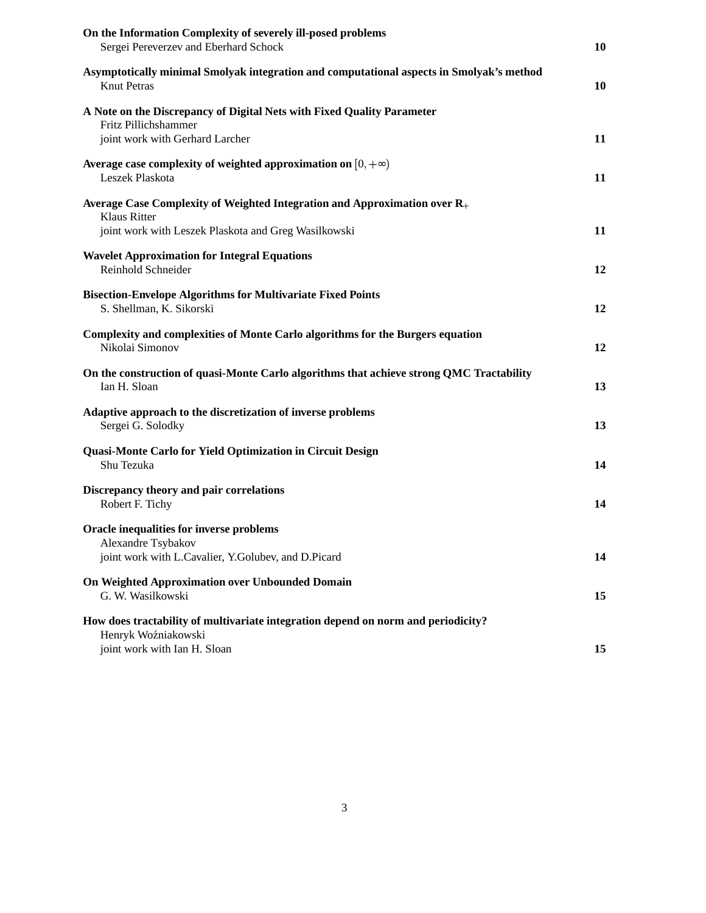| On the Information Complexity of severely ill-posed problems<br>Sergei Pereverzev and Eberhard Schock                                    | 10 |
|------------------------------------------------------------------------------------------------------------------------------------------|----|
| Asymptotically minimal Smolyak integration and computational aspects in Smolyak's method<br><b>Knut Petras</b>                           | 10 |
| A Note on the Discrepancy of Digital Nets with Fixed Quality Parameter<br>Fritz Pillichshammer<br>joint work with Gerhard Larcher        | 11 |
| Average case complexity of weighted approximation on $[0, +\infty)$<br>Leszek Plaskota                                                   | 11 |
| Average Case Complexity of Weighted Integration and Approximation over R <sub>+</sub>                                                    |    |
| <b>Klaus Ritter</b><br>joint work with Leszek Plaskota and Greg Wasilkowski                                                              | 11 |
| <b>Wavelet Approximation for Integral Equations</b><br>Reinhold Schneider                                                                | 12 |
| <b>Bisection-Envelope Algorithms for Multivariate Fixed Points</b><br>S. Shellman, K. Sikorski                                           | 12 |
| Complexity and complexities of Monte Carlo algorithms for the Burgers equation<br>Nikolai Simonov                                        | 12 |
| On the construction of quasi-Monte Carlo algorithms that achieve strong QMC Tractability<br>Ian H. Sloan                                 | 13 |
| Adaptive approach to the discretization of inverse problems<br>Sergei G. Solodky                                                         | 13 |
| Quasi-Monte Carlo for Yield Optimization in Circuit Design<br>Shu Tezuka                                                                 | 14 |
| Discrepancy theory and pair correlations<br>Robert F. Tichy                                                                              | 14 |
| Oracle inequalities for inverse problems<br>Alexandre Tsybakov<br>joint work with L.Cavalier, Y.Golubev, and D.Picard                    | 14 |
| On Weighted Approximation over Unbounded Domain<br>G. W. Wasilkowski                                                                     | 15 |
| How does tractability of multivariate integration depend on norm and periodicity?<br>Henryk Woźniakowski<br>joint work with Ian H. Sloan | 15 |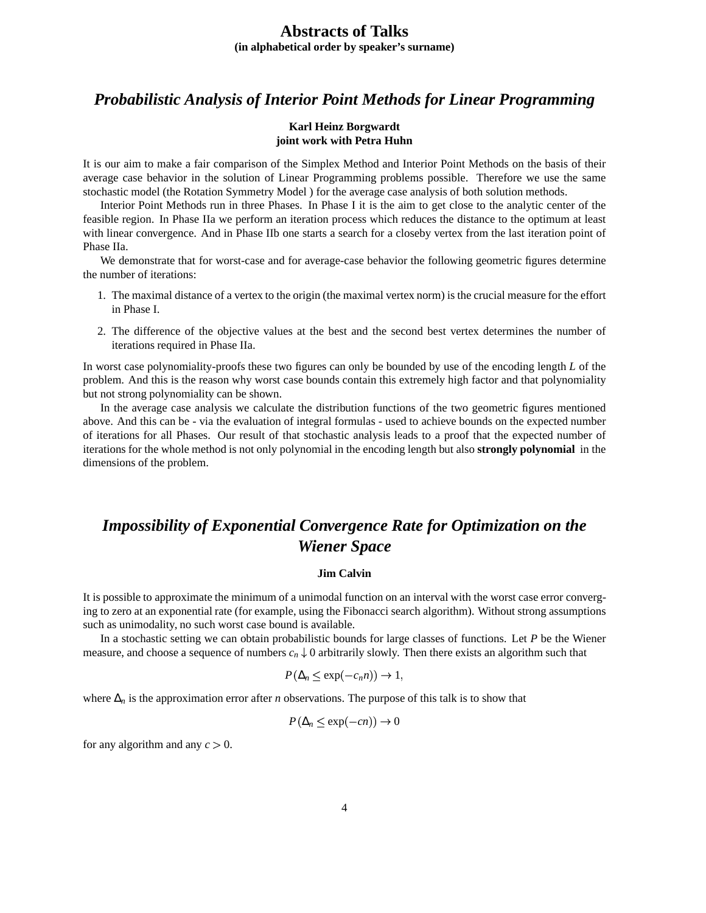### **Abstracts of Talks (in alphabetical order by speaker's surname)**

### *Probabilistic Analysis of Interior Point Methods for Linear Programming*

#### **Karl Heinz Borgwardt joint work with Petra Huhn**

It is our aim to make a fair comparison of the Simplex Method and Interior Point Methods on the basis of their average case behavior in the solution of Linear Programming problems possible. Therefore we use the same stochastic model (the Rotation Symmetry Model ) for the average case analysis of both solution methods.

Interior Point Methods run in three Phases. In Phase I it is the aim to get close to the analytic center of the feasible region. In Phase IIa we perform an iteration process which reduces the distance to the optimum at least with linear convergence. And in Phase IIb one starts a search for a closeby vertex from the last iteration point of Phase IIa.

We demonstrate that for worst-case and for average-case behavior the following geometric figures determine the number of iterations:

- 1. The maximal distance of a vertex to the origin (the maximal vertex norm) is the crucial measure for the effort in Phase I.
- 2. The difference of the objective values at the best and the second best vertex determines the number of iterations required in Phase IIa.

In worst case polynomiality-proofs these two figures can only be bounded by use of the encoding length *L* of the problem. And this is the reason why worst case bounds contain this extremely high factor and that polynomiality but not strong polynomiality can be shown.

In the average case analysis we calculate the distribution functions of the two geometric figures mentioned above. And this can be - via the evaluation of integral formulas - used to achieve bounds on the expected number of iterations for all Phases. Our result of that stochastic analysis leads to a proof that the expected number of iterations for the whole method is not only polynomialin the encoding length but also **strongly polynomial** in the dimensions of the problem.

## *Impossibility of Exponential Convergence Rate for Optimization on the Wiener Space*

#### **Jim Calvin**

It is possible to approximate the minimum of a unimodal function on an interval with the worst case error converging to zero at an exponential rate (for example, using the Fibonacci search algorithm). Without strong assumptions such as unimodality, no such worst case bound is available.

In a stochastic setting we can obtain probabilistic bounds for large classes of functions. Let *P* be the Wiener measure, and choose a sequence of numbers  $c_n \downarrow 0$  arbitrarily slowly. Then there exists an algorithm such that

$$
P(\Delta_n \leq \exp(-c_n n)) \to 1,
$$

where ∆*<sup>n</sup>* is the approximation error after *n* observations. The purpose of this talk is to show that

$$
P(\Delta_n \le \exp(-cn)) \to 0
$$

for any algorithm and any  $c > 0$ .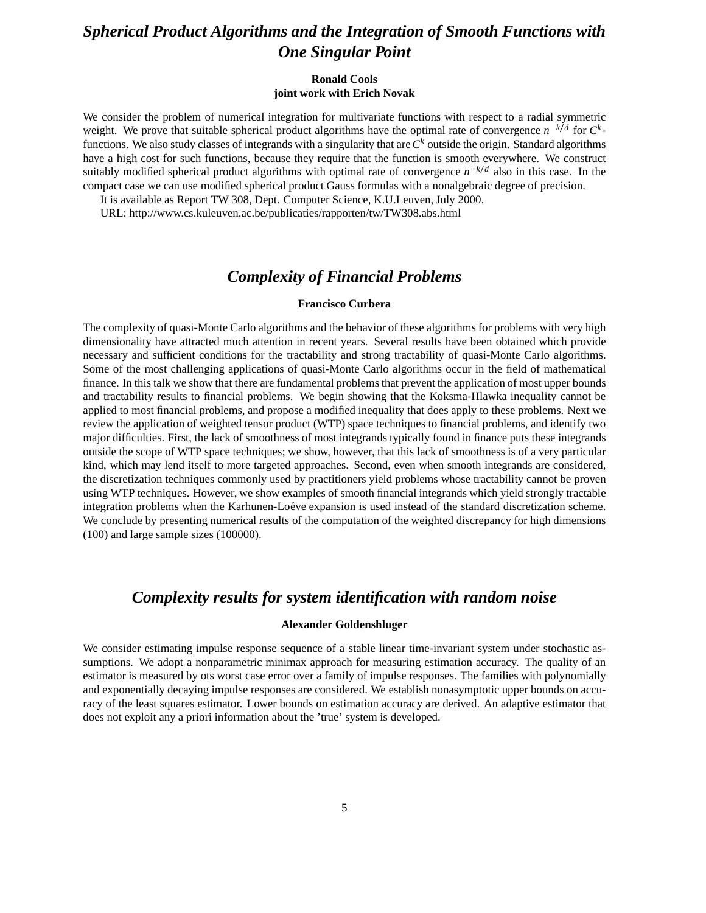## *Spherical Product Algorithms and the Integration of Smooth Functions with One Singular Point*

#### **Ronald Cools joint work with Erich Novak**

We consider the problem of numerical integration for multivariate functions with respect to a radial symmetric weight. We prove that suitable spherical product algorithms have the optimal rate of convergence  $n^{-k/d}$  for  $C^k$ functions. We also study classes of integrands with a singularity that are*C <sup>k</sup>* outside the origin. Standard algorithms have a high cost for such functions, because they require that the function is smooth everywhere. We construct suitably modified spherical product algorithms with optimal rate of convergence  $n^{-k/d}$  also in this case. In the compact case we can use modified spherical product Gauss formulas with a nonalgebraic degree of precision.

It is available as Report TW 308, Dept. Computer Science, K.U.Leuven, July 2000.

URL: http://www.cs.kuleuven.ac.be/publicaties/rapporten/tw/TW308.abs.html

### *Complexity of Financial Problems*

#### **Francisco Curbera**

The complexity of quasi-Monte Carlo algorithms and the behavior of these algorithms for problems with very high dimensionality have attracted much attention in recent years. Several results have been obtained which provide necessary and sufficient conditions for the tractability and strong tractability of quasi-Monte Carlo algorithms. Some of the most challenging applications of quasi-Monte Carlo algorithms occur in the field of mathematical finance. In this talk we show that there are fundamental problems that prevent the application of most upper bounds and tractability results to financial problems. We begin showing that the Koksma-Hlawka inequality cannot be applied to most financial problems, and propose a modified inequality that does apply to these problems. Next we review the application of weighted tensor product (WTP) space techniques to financial problems, and identify two major difficulties. First, the lack of smoothness of most integrands typically found in finance puts these integrands outside the scope of WTP space techniques; we show, however, that this lack of smoothness is of a very particular kind, which may lend itself to more targeted approaches. Second, even when smooth integrands are considered, the discretization techniques commonly used by practitioners yield problems whose tractability cannot be proven using WTP techniques. However, we show examples of smooth financial integrands which yield strongly tractable integration problems when the Karhunen-Loéve expansion is used instead of the standard discretization scheme. We conclude by presenting numerical results of the computation of the weighted discrepancy for high dimensions (100) and large sample sizes (100000).

### *Complexity results for system identification with random noise*

#### **Alexander Goldenshluger**

We consider estimating impulse response sequence of a stable linear time-invariant system under stochastic assumptions. We adopt a nonparametric minimax approach for measuring estimation accuracy. The quality of an estimator is measured by ots worst case error over a family of impulse responses. The families with polynomially and exponentially decaying impulse responses are considered. We establish nonasymptotic upper bounds on accuracy of the least squares estimator. Lower bounds on estimation accuracy are derived. An adaptive estimator that does not exploit any a priori information about the 'true' system is developed.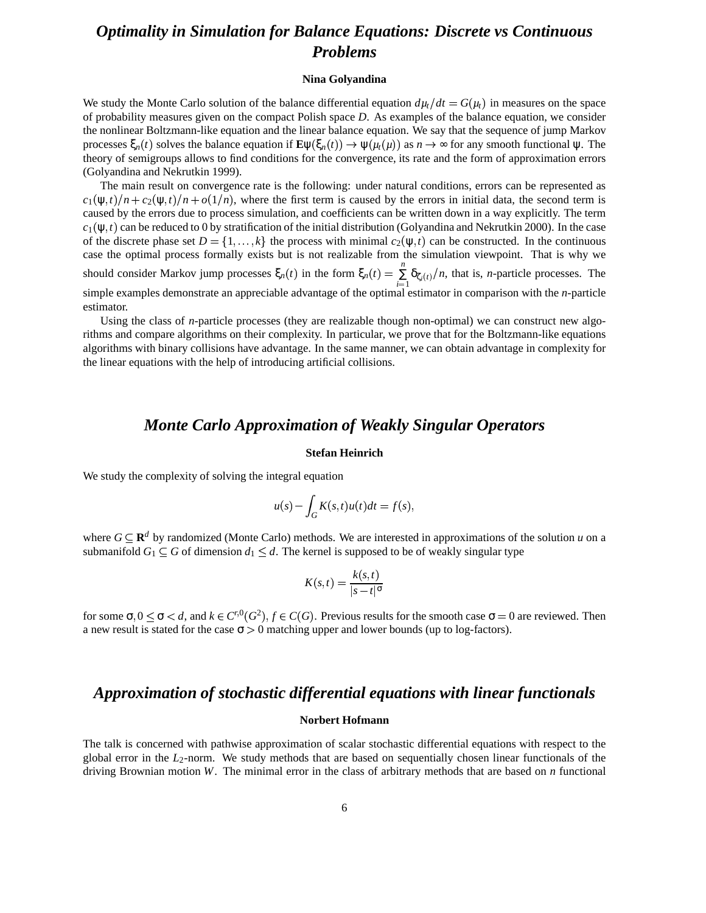## *Optimality in Simulation for Balance Equations: Discrete vs Continuous Problems*

#### **Nina Golyandina**

We study the Monte Carlo solution of the balance differential equation  $d\mu_t/dt = G(\mu_t)$  in measures on the space of probability measures given on the compact Polish space *D*. As examples of the balance equation, we consider the nonlinear Boltzmann-like equation and the linear balance equation. We say that the sequence of jump Markov processes  $\xi_n(t)$  solves the balance equation if  $\mathbf{E}\psi(\xi_n(t)) \to \psi(\mu_t(\mu))$  as  $n \to \infty$  for any smooth functional  $\psi$ . The theory of semigroups allows to find conditions for the convergence, its rate and the form of approximation errors (Golyandina and Nekrutkin 1999).

The main result on convergence rate is the following: under natural conditions, errors can be represented as  $c_1(\psi,t)/n + c_2(\psi,t)/n + o(1/n)$ , where the first term is caused by the errors in initial data, the second term is caused by the errors due to process simulation, and coefficients can be written down in a way explicitly. The term  $c_1(\psi,t)$  can be reduced to 0 by stratification of the initial distribution (Golyandina and Nekrutkin 2000). In the case of the discrete phase set  $D = \{1, ..., k\}$  the process with minimal  $c_2(\psi, t)$  can be constructed. In the continuous case the optimal process formally exists but is not realizable from the simulation viewpoint. That is why we should consider Markov jump processes  $\xi_n(t)$  in the form  $\xi_n(t) = \sum \delta_{\zeta_i(t)}/n$ , th  $\sum_{i=1}^{n} \delta_{\zeta_i(t)}/n$ , that is, *n*-particle processes. The simple examples demonstrate an appreciable advantage of the optimal estimator in comparison with the *n*-particle estimator.

Using the class of *n*-particle processes (they are realizable though non-optimal) we can construct new algorithms and compare algorithms on their complexity. In particular, we prove that for the Boltzmann-like equations algorithms with binary collisions have advantage. In the same manner, we can obtain advantage in complexity for the linear equations with the help of introducing artificial collisions.

### *Monte Carlo Approximation of Weakly Singular Operators*

#### **Stefan Heinrich**

We study the complexity of solving the integral equation

$$
u(s) - \int_G K(s,t)u(t)dt = f(s),
$$

where  $G \subseteq \mathbb{R}^d$  by randomized (Monte Carlo) methods. We are interested in approximations of the solution *u* on a submanifold  $G_1 \subseteq G$  of dimension  $d_1 \leq d$ . The kernel is supposed to be of weakly singular type

$$
K(s,t) = \frac{k(s,t)}{|s-t|^{\sigma}}
$$

for some  $\sigma$ ,  $0 \le \sigma < d$ , and  $k \in C^{r,0}(G^2)$ ,  $f \in C(G)$ . Previous results for the smooth case  $\sigma = 0$  are reviewed. Then a new result is stated for the case  $\sigma > 0$  matching upper and lower bounds (up to log-factors).

### *Approximation of stochastic differential equations with linear functionals*

#### **Norbert Hofmann**

The talk is concerned with pathwise approximation of scalar stochastic differential equations with respect to the global error in the *L*2-norm. We study methods that are based on sequentially chosen linear functionals of the driving Brownian motion *W*. The minimal error in the class of arbitrary methods that are based on *n* functional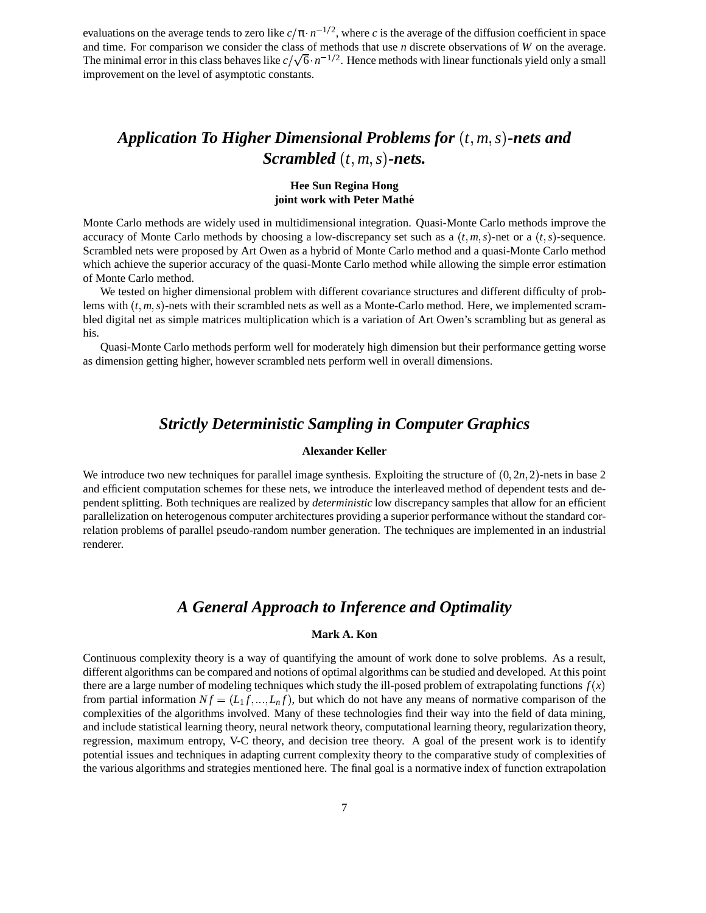evaluations on the average tends to zero like  $c/\pi \cdot n^{-1/2}$ , where *c* is the average of the diffusion coefficient in space and time. For comparison we consider the class of methods that use *n* discrete observations of *W* on the average. The minimal error in this class behaves like  $c/\sqrt{6} \cdot n^{-1/2}$ . Hence methods with linear functionals yield only a small improvement on the level of asymptotic constants.

## *Application To Higher Dimensional Problems for*  $(t, m, s)$ -nets and *Scrambled*  $(t, m, s)$ *-nets.*

#### **Hee Sun Regina Hong joint work with Peter Mathe´**

Monte Carlo methods are widely used in multidimensional integration. Quasi-Monte Carlo methods improve the accuracy of Monte Carlo methods by choosing a low-discrepancy set such as a  $(t, m, s)$ -net or a  $(t, s)$ -sequence. Scrambled nets were proposed by Art Owen as a hybrid of Monte Carlo method and a quasi-Monte Carlo method which achieve the superior accuracy of the quasi-Monte Carlo method while allowing the simple error estimation of Monte Carlo method.

We tested on higher dimensional problem with different covariance structures and different difficulty of problems with  $(t, m, s)$ -nets with their scrambled nets as well as a Monte-Carlo method. Here, we implemented scrambled digital net as simple matrices multiplication which is a variation of Art Owen's scrambling but as general as his.

Quasi-Monte Carlo methods perform well for moderately high dimension but their performance getting worse as dimension getting higher, however scrambled nets perform well in overall dimensions.

### *Strictly Deterministic Sampling in Computer Graphics*

#### **Alexander Keller**

We introduce two new techniques for parallel image synthesis. Exploiting the structure of  $(0, 2n, 2)$ -nets in base 2 and efficient computation schemes for these nets, we introduce the interleaved method of dependent tests and dependent splitting. Both techniques are realized by *deterministic* low discrepancy samples that allow for an efficient parallelization on heterogenous computer architectures providing a superior performance without the standard correlation problems of parallel pseudo-random number generation. The techniques are implemented in an industrial renderer.

### *A General Approach to Inference and Optimality*

#### **Mark A. Kon**

Continuous complexity theory is a way of quantifying the amount of work done to solve problems. As a result, different algorithms can be compared and notions of optimal algorithms can be studied and developed. Atthis point there are a large number of modeling techniques which study the ill-posed problem of extrapolating functions  $f(x)$ from partial information  $Nf = (L_1f, ..., L_nf)$ , but which do not have any means of normative comparison of the complexities of the algorithms involved. Many of these technologies find their way into the field of data mining, and include statistical learning theory, neural network theory, computationallearning theory, regularization theory, regression, maximum entropy, V-C theory, and decision tree theory. A goal of the present work is to identify potential issues and techniques in adapting current complexity theory to the comparative study of complexities of the various algorithms and strategies mentioned here. The final goal is a normative index of function extrapolation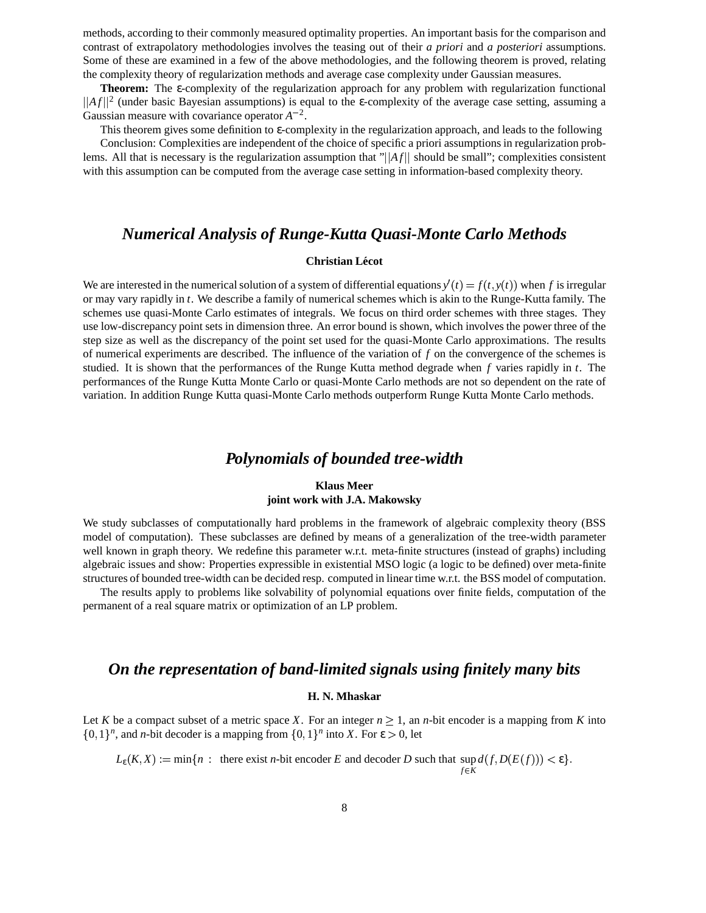methods, according to their commonly measured optimality properties. An important basis for the comparison and contrast of extrapolatory methodologies involves the teasing out of their *a priori* and *a posteriori* assumptions. Some of these are examined in a few of the above methodologies, and the following theorem is proved, relating the complexity theory of regularization methods and average case complexity under Gaussian measures.

**Theorem:** The ε-complexity of the regularization approach for any problem with regularization functional  $||Af||^2$  (under basic Bayesian assumptions) is equal to the *ε*-complexity of the average case setting, assuming a Gaussian measure with covariance operator  $A^{-2}$ .

This theorem gives some definition to ε-complexity in the regularization approach, and leads to the following

Conclusion: Complexities are independent of the choice of specific a priori assumptionsin regularization problems. All that is necessary is the regularization assumption that " $||Af||$  should be small"; complexities consistent with this assumption can be computed from the average case setting in information-based complexity theory.

### *Numerical Analysis of Runge-Kutta Quasi-Monte Carlo Methods*

#### $Christian Lécot$

We are interested in the numerical solution of a system of differential equations  $y'(t) = f(t, y(t))$  when f is irregular or may vary rapidly in *t*. We describe a family of numerical schemes which is akin to the Runge-Kutta family. The schemes use quasi-Monte Carlo estimates of integrals. We focus on third order schemes with three stages. They use low-discrepancy point sets in dimension three. An error bound is shown, which involves the power three of the step size as well as the discrepancy of the point set used for the quasi-Monte Carlo approximations. The results of numerical experiments are described. The influence of the variation of *f* on the convergence of the schemes is studied. It is shown that the performances of the Runge Kutta method degrade when *f* varies rapidly in *t*. The performances of the Runge Kutta Monte Carlo or quasi-Monte Carlo methods are not so dependent on the rate of variation. In addition Runge Kutta quasi-Monte Carlo methods outperform Runge Kutta Monte Carlo methods.

### *Polynomials of bounded tree-width*

#### **Klaus Meer joint work with J.A. Makowsky**

We study subclasses of computationally hard problems in the framework of algebraic complexity theory (BSS model of computation). These subclasses are defined by means of a generalization of the tree-width parameter well known in graph theory. We redefine this parameter w.r.t. meta-finite structures (instead of graphs) including algebraic issues and show: Properties expressible in existential MSO logic (a logic to be defined) over meta-finite structures of bounded tree-width can be decided resp. computed in linear time w.r.t. the BSS model of computation.

The results apply to problems like solvability of polynomial equations over finite fields, computation of the permanent of a real square matrix or optimization of an LP problem.

### *On the representation of band-limited signals using finitely many bits*

#### **H. N. Mhaskar**

Let *K* be a compact subset of a metric space *X*. For an integer  $n > 1$ , an *n*-bit encoder is a mapping from *K* into  $\{0,1\}^n$ , and *n*-bit decoder is a mapping from  $\{0,1\}^n$  into *X*. For  $\varepsilon > 0$ , let

 $L_{\varepsilon}(K,X) := \min\{n : \text{ there exist } n\text{-bit encoder } E \text{ and decoder } D \text{ such that } \sup d(f,D(E(f))) < \varepsilon\}.$  $f \in K$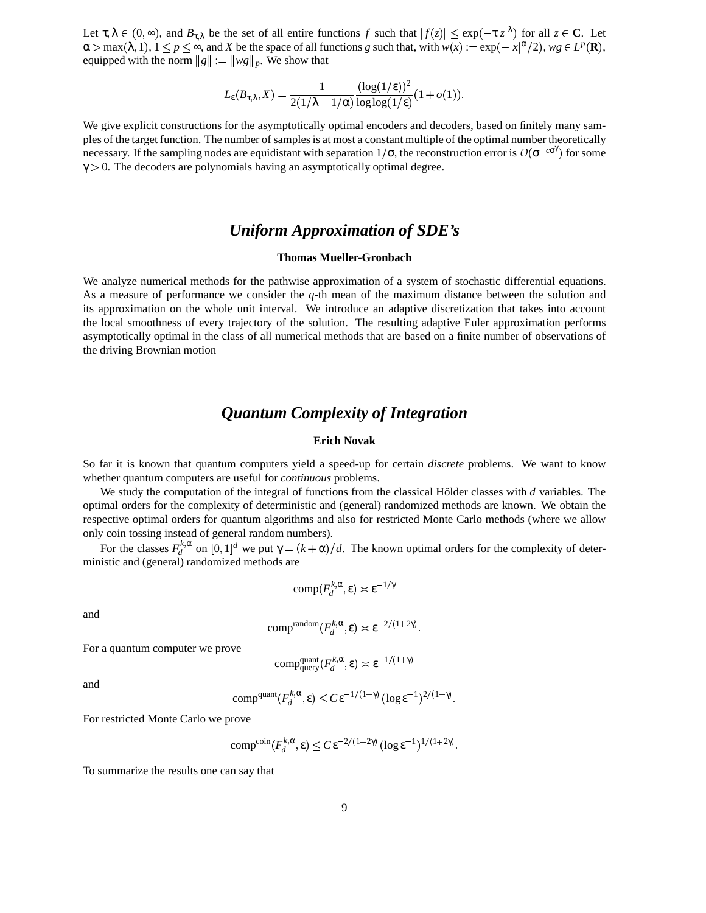Let  $\tau, \lambda \in (0, \infty)$ , and  $B_{\tau, \lambda}$  be the set of all entire functions f such that  $|f(z)| \leq \exp(-\tau |z|^{\lambda})$  for all  $z \in \mathbb{C}$ . Let  $\alpha > \max(\lambda, 1), 1 \le p \le \infty$ , and *X* be the space of all functions *g* such that, with  $w(x) := \exp(-|x|^{\alpha}/2)$ ,  $wg \in L^p(\mathbf{R})$ , equipped with the norm  $||g|| := ||wg||_p$ . We show that

$$
L_{\varepsilon}(B_{\tau,\lambda}, X) = \frac{1}{2(1/\lambda - 1/\alpha)} \frac{(\log(1/\varepsilon))^2}{\log \log(1/\varepsilon)} (1 + o(1)).
$$

We give explicit constructions for the asymptotically optimal encoders and decoders, based on finitely many samples of the target function. The number ofsamplesis at most a constant multiple of the optimal number theoretically necessary. If the sampling nodes are equidistant with separation  $1/\sigma$ , the reconstruction error is  $O(\sigma^{-c\sigma^{\gamma}})$  for some  $\gamma$  > 0. The decoders are polynomials having an asymptotically optimal degree.

### *Uniform Approximation of SDE's*

#### **Thomas Mueller-Gronbach**

We analyze numerical methods for the pathwise approximation of a system of stochastic differential equations. As a measure of performance we consider the *q*-th mean of the maximum distance between the solution and its approximation on the whole unit interval. We introduce an adaptive discretization that takes into account the local smoothness of every trajectory of the solution. The resulting adaptive Euler approximation performs asymptotically optimal in the class of all numerical methods that are based on a finite number of observations of the driving Brownian motion

### *Quantum Complexity of Integration*

#### **Erich Novak**

So far it is known that quantum computers yield a speed-up for certain *discrete* problems. We want to know whether quantum computers are useful for *continuous* problems.

We study the computation of the integral of functions from the classical Hölder classes with  $d$  variables. The optimal orders for the complexity of deterministic and (general) randomized methods are known. We obtain the respective optimal orders for quantum algorithms and also for restricted Monte Carlo methods (where we allow only coin tossing instead of general random numbers).

For the classes  $F_d^{k,\alpha}$  $d_d^{k,\alpha}$  on  $[0,1]^d$  we put  $\gamma = (k+\alpha)/d$ . The known optimal orders for the complexity of deterministic and (general) randomized methods are

$$
\text{comp}(F_d^{k,\alpha}, \varepsilon) \asymp \varepsilon^{-1/\gamma}
$$

and

$$
\text{comp}^{\text{random}}(F_d^{k,\alpha}, \varepsilon) \asymp \varepsilon^{-2/(1+2\gamma)}.
$$

For a quantum computer we prove

$$
comp_{query}^{quant}(F_d^{k, \alpha}, \varepsilon) \asymp \varepsilon^{-1/(1+\gamma)}
$$

and

$$
\text{comp}^{\text{quant}}(F_d^{k,\alpha}, \varepsilon) \leq C \varepsilon^{-1/(1+\gamma)} \left( \log \varepsilon^{-1} \right)^{2/(1+\gamma)}.
$$

For restricted Monte Carlo we prove

$$
\text{comp}^{\text{coin}}(F_d^{k,\alpha}, \varepsilon) \leq C \varepsilon^{-2/(1+2\gamma)} (\log \varepsilon^{-1})^{1/(1+2\gamma)}.
$$

To summarize the results one can say that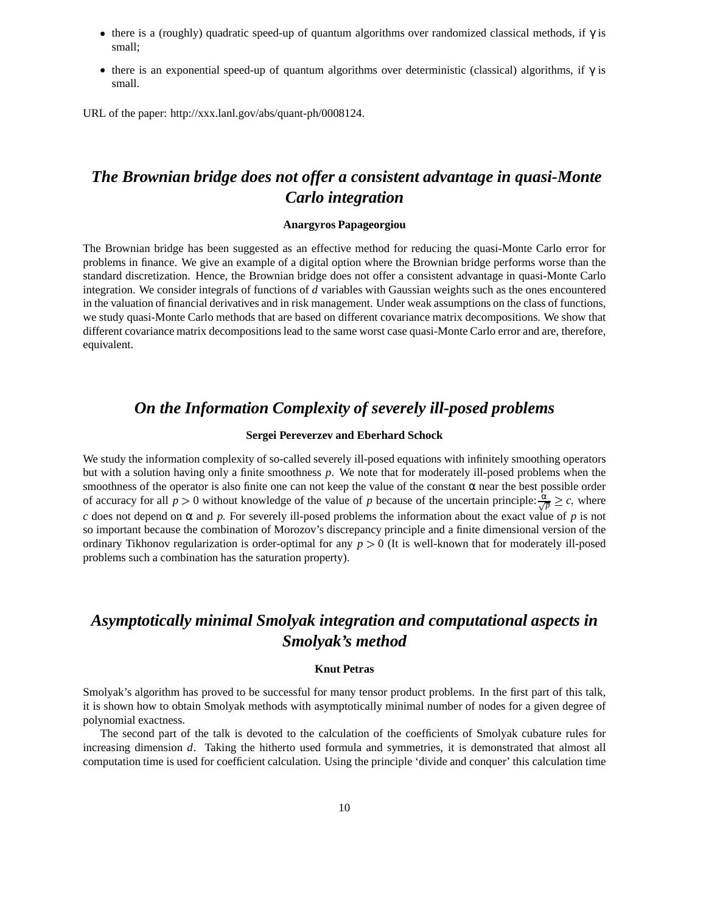- there is a (roughly) quadratic speed-up of quantum algorithms over randomized classical methods, if  $\gamma$  is small;
- there is an exponential speed-up of quantum algorithms over deterministic (classical) algorithms, if  $\gamma$  is small.

URL of the paper: http://xxx.lanl.gov/abs/quant-ph/0008124.

## *The Brownian bridge does not offer a consistent advantage in quasi-Monte Carlo integration*

#### **Anargyros Papageorgiou**

The Brownian bridge has been suggested as an effective method for reducing the quasi-Monte Carlo error for problems in finance. We give an example of a digital option where the Brownian bridge performs worse than the standard discretization. Hence, the Brownian bridge does not offer a consistent advantage in quasi-Monte Carlo integration. We consider integrals of functions of *d* variables with Gaussian weights such as the ones encountered in the valuation of financial derivatives and in risk management. Under weak assumptions on the class of functions, we study quasi-Monte Carlo methods that are based on different covariance matrix decompositions. We show that different covariance matrix decompositions lead to the same worst case quasi-Monte Carlo error and are, therefore, equivalent.

### *On the Information Complexity of severely ill-posed problems*

#### **Sergei Pereverzev and Eberhard Schock**

We study the information complexity of so-called severely ill-posed equations with infinitely smoothing operators but with a solution having only a finite smoothness *p*. We note that for moderately ill-posed problems when the smoothness of the operator is also finite one can not keep the value of the constant  $\alpha$  near the best possible order of accuracy for all  $p > 0$  without knowledge of the value of *p* because of the uncertain principle:  $\frac{\alpha}{\sqrt{p}} \geq c$ , where *c* does not depend on  $\alpha$  and *p*. For severely ill-posed problems the information about the exact value of *p* is not so important because the combination of Morozov's discrepancy principle and a finite dimensional version of the ordinary Tikhonov regularization is order-optimal for any  $p > 0$  (It is well-known that for moderately ill-posed problems such a combination has the saturation property).

## *Asymptotically minimal Smolyak integration and computational aspects in Smolyak's method*

#### **Knut Petras**

Smolyak's algorithm has proved to be successful for many tensor product problems. In the first part of this talk, it is shown how to obtain Smolyak methods with asymptotically minimal number of nodes for a given degree of polynomial exactness.

The second part of the talk is devoted to the calculation of the coefficients of Smolyak cubature rules for increasing dimension *d*. Taking the hitherto used formula and symmetries, it is demonstrated that almost all computation time is used for coefficient calculation. Using the principle 'divide and conquer' this calculation time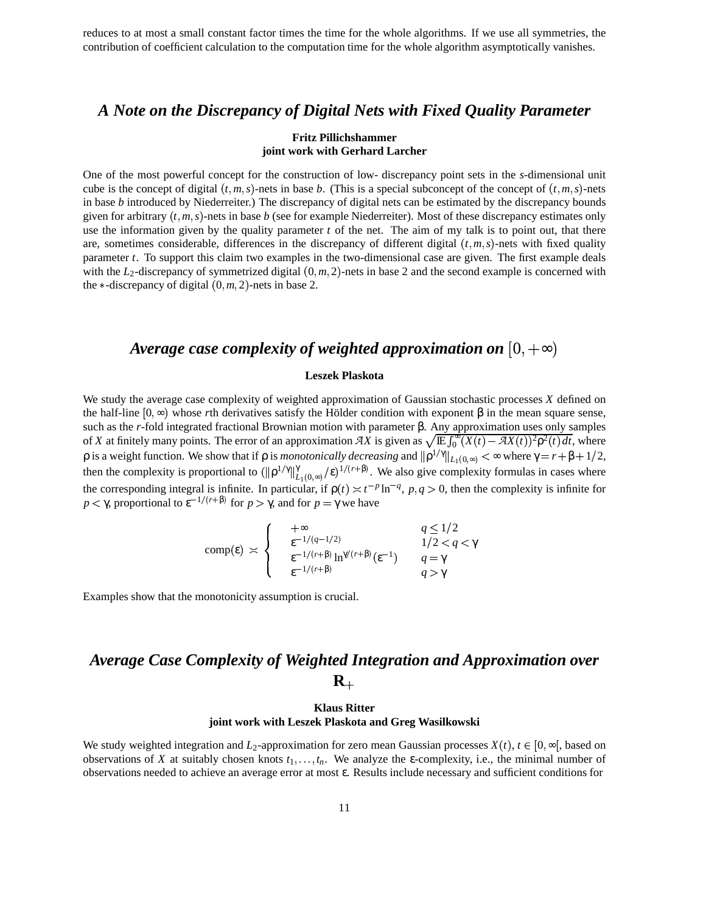reduces to at most a small constant factor times the time for the whole algorithms. If we use all symmetries, the contribution of coefficient calculation to the computation time for the whole algorithm asymptotically vanishes.

## *A Note on the Discrepancy of Digital Nets with Fixed Quality Parameter*

#### **Fritz Pillichshammer joint work with Gerhard Larcher**

One of the most powerful concept for the construction of low- discrepancy point sets in the *s*-dimensional unit cube is the concept of digital  $(t, m, s)$ -nets in base *b*. (This is a special subconcept of the concept of  $(t, m, s)$ -nets in base *b* introduced by Niederreiter.) The discrepancy of digital nets can be estimated by the discrepancy bounds given for arbitrary  $(t, m, s)$ -nets in base  $b$  (see for example Niederreiter). Most of these discrepancy estimates only use the information given by the quality parameter *t* of the net. The aim of my talk is to point out, that there are, sometimes considerable, differences in the discrepancy of different digital  $(t, m, s)$ -nets with fixed quality parameter *t*. To support this claim two examples in the two-dimensional case are given. The first example deals with the  $L_2$ -discrepancy of symmetrized digital  $(0, m, 2)$ -nets in base 2 and the second example is concerned with the  $\ast$ -discrepancy of digital  $(0, m, 2)$ -nets in base 2.

### *Average case complexity of weighted approximation on*  $[0, +\infty)$

#### **Leszek Plaskota**

We study the average case complexity of weighted approximation of Gaussian stochastic processes *X* defined on the half-line  $[0, \infty)$  whose *r*th derivatives satisfy the Hölder condition with exponent  $\beta$  in the mean square sense, such as the *r*-fold integrated fractional Brownian motion with parameter β. Any approximation uses only samples of *X* at finitely many points. The error of an approximation  $\overline{AX}$  is given as  $\sqrt{\mathbb{E} \int_0^{\infty} (X(t) - \overline{AX}(t))^2 \rho^2(t) dt}$ , where  $\rho$  is a weight function. We show that if  $\rho$  is *monotonically decreasing* and  $||\rho^{1/γ}||_{L_1(0, ∞)} < ∞$  where  $γ = r + β + 1/2$ , then the complexity is proportional to  $(\|\rho^{1/\gamma}\|_{L^1(0,\infty)}^{\gamma})$  $\int_{L_1(0,\infty)}^{\gamma}$ /ε)<sup>1/(r+β)</sup>. We also give complexity formulas in cases where the corresponding integral is infinite. In particular, if  $p(t) \approx t^{-p} \ln^{-q}$ ,  $p, q > 0$ , then the complexity is infinite for *p* < γ, proportional to  $\varepsilon^{-1/(r+\beta)}$  for *p* > γ, and for *p* = γ we have

$$
\text{comp}(\varepsilon) \asymp \begin{cases} & +\infty & q \le 1/2 \\ & \varepsilon^{-1/(q-1/2)} & 1/2 < q < \gamma \\ & \varepsilon^{-1/(r+\beta)} \ln^{\gamma/(r+\beta)}(\varepsilon^{-1}) & q = \gamma \\ & \varepsilon^{-1/(r+\beta)} & q > \gamma \end{cases}
$$

Examples show that the monotonicity assumption is crucial.

## *Average Case Complexity of Weighted Integration and Approximation over*  $\mathbf{R}_+$

#### **Klaus Ritter joint work with Leszek Plaskota and Greg Wasilkowski**

We study weighted integration and  $L_2$ -approximation for zero mean Gaussian processes  $X(t)$ ,  $t \in [0, \infty]$ , based on observations of *X* at suitably chosen knots  $t_1, \ldots, t_n$ . We analyze the  $\varepsilon$ -complexity, i.e., the minimal number of observations needed to achieve an average error at most ε. Results include necessary and sufficient conditions for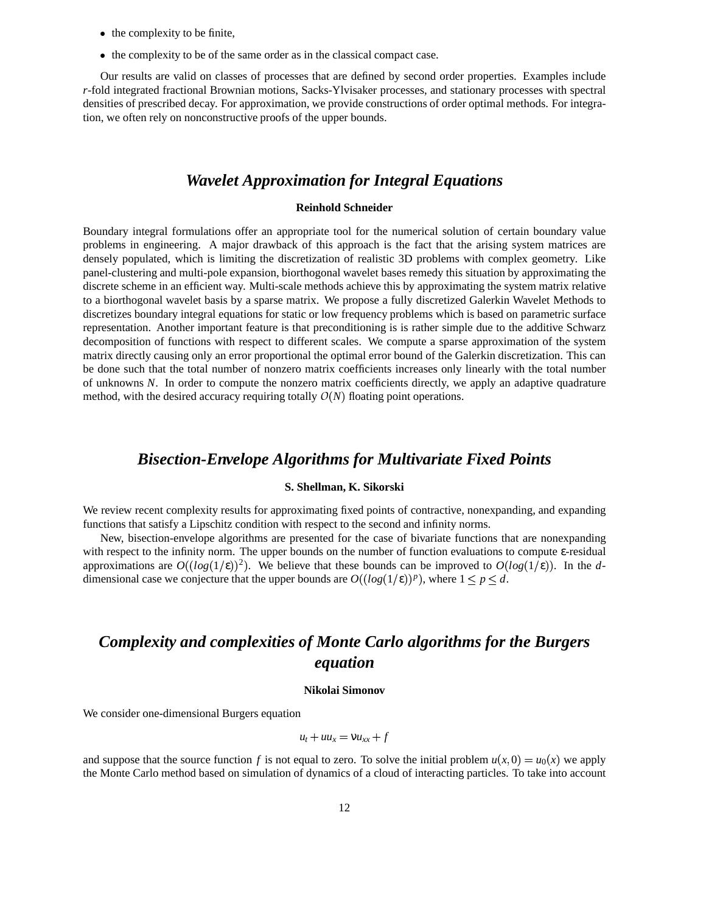- the complexity to be finite,
- : the complexity to be of the same order as in the classical compact case.

Our results are valid on classes of processes that are defined by second order properties. Examples include *r*-fold integrated fractional Brownian motions, Sacks-Ylvisaker processes, and stationary processes with spectral densities of prescribed decay. For approximation, we provide constructions of order optimal methods. For integration, we often rely on nonconstructive proofs of the upper bounds.

### *Wavelet Approximation for Integral Equations*

#### **Reinhold Schneider**

Boundary integral formulations offer an appropriate tool for the numerical solution of certain boundary value problems in engineering. A major drawback of this approach is the fact that the arising system matrices are densely populated, which is limiting the discretization of realistic 3D problems with complex geometry. Like panel-clustering and multi-pole expansion, biorthogonal wavelet bases remedy this situation by approximating the discrete scheme in an efficient way. Multi-scale methods achieve this by approximating the system matrix relative to a biorthogonal wavelet basis by a sparse matrix. We propose a fully discretized Galerkin Wavelet Methods to discretizes boundary integral equations for static or low frequency problems which is based on parametric surface representation. Another important feature is that preconditioning is is rather simple due to the additive Schwarz decomposition of functions with respect to different scales. We compute a sparse approximation of the system matrix directly causing only an error proportional the optimal error bound of the Galerkin discretization. This can be done such that the total number of nonzero matrix coefficients increases only linearly with the total number of unknowns *N*. In order to compute the nonzero matrix coefficients directly, we apply an adaptive quadrature method, with the desired accuracy requiring totally  $O(N)$  floating point operations.

### *Bisection-Envelope Algorithms for Multivariate Fixed Points*

#### **S. Shellman, K. Sikorski**

We review recent complexity results for approximating fixed points of contractive, nonexpanding, and expanding functions that satisfy a Lipschitz condition with respect to the second and infinity norms.

New, bisection-envelope algorithms are presented for the case of bivariate functions that are nonexpanding with respect to the infinity norm. The upper bounds on the number of function evaluations to compute ε-residual approximations are  $O((log(1/\epsilon))^2)$ . We believe that these bounds can be improved to  $O(log(1/\epsilon))$ . In the *d*dimensional case we conjecture that the upper bounds are  $O((log(1/\epsilon))^p)$ , where  $1 \leq p \leq d$ .

## *Complexity and complexities of Monte Carlo algorithms for the Burgers equation*

#### **Nikolai Simonov**

We consider one-dimensional Burgers equation

$$
u_t + uu_x = \nu u_{xx} + f
$$

and suppose that the source function *f* is not equal to zero. To solve the initial problem  $u(x, 0) = u_0(x)$  we apply the Monte Carlo method based on simulation of dynamics of a cloud of interacting particles. To take into account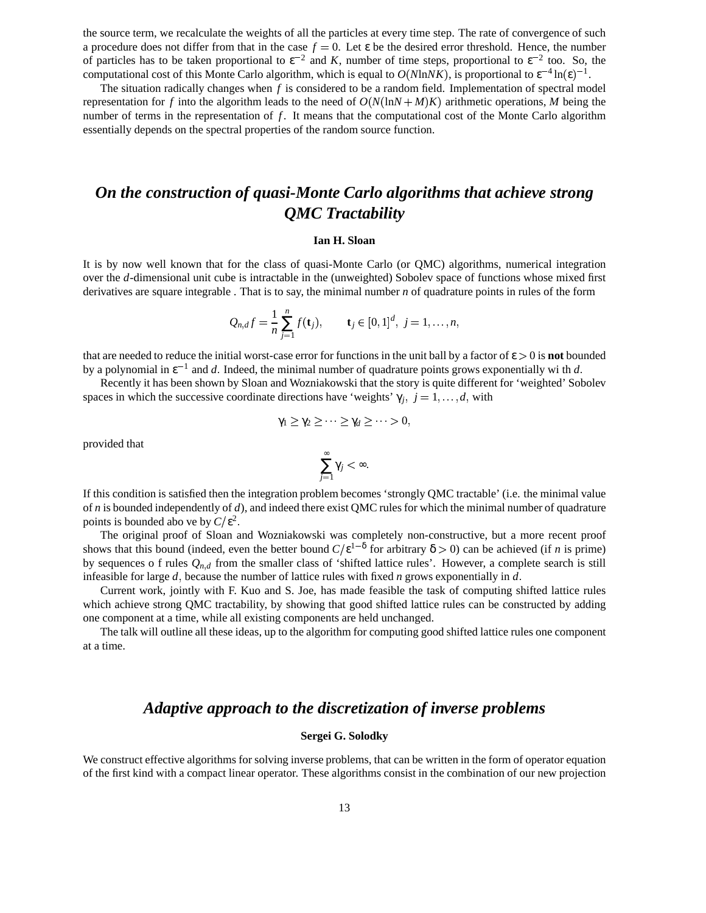the source term, we recalculate the weights of all the particles at every time step. The rate of convergence of such a procedure does not differ from that in the case  $f = 0$ . Let  $\varepsilon$  be the desired error threshold. Hence, the number of particles has to be taken proportional to  $\varepsilon^{-2}$  and K, number of time steps, proportional to  $\varepsilon^{-2}$  too. So, the computational cost of this Monte Carlo algorithm, which is equal to  $O(N \ln NK)$ , is proportional to  $\varepsilon^{-4} \ln(\varepsilon)^{-1}$ .

The situation radically changes when *f* is considered to be a random field. Implementation of spectral model representation for f into the algorithm leads to the need of  $O(N(\ln N + M)K)$  arithmetic operations, M being the number of terms in the representation of *f*. It means that the computational cost of the Monte Carlo algorithm essentially depends on the spectral properties of the random source function.

## *On the construction of quasi-Monte Carlo algorithms that achieve strong QMC Tractability*

#### **Ian H. Sloan**

It is by now well known that for the class of quasi-Monte Carlo (or QMC) algorithms, numerical integration over the *d*-dimensional unit cube is intractable in the (unweighted) Sobolev space of functions whose mixed first derivatives are square integrable . That is to say, the minimal number *n* of quadrature points in rules of the form

$$
Q_{n,d}f = \frac{1}{n}\sum_{j=1}^n f(\mathbf{t}_j), \qquad \mathbf{t}_j \in [0,1]^d, j = 1,\ldots,n,
$$

that are needed to reduce the initial worst-case error for functions in the unit ball by a factor of  $\epsilon > 0$  is **not** bounded by a polynomial in  $\varepsilon^{-1}$  and *d*. Indeed, the minimal number of quadrature points grows exponentially wi th *d*.

Recently it has been shown by Sloan and Wozniakowski that the story is quite different for 'weighted'Sobolev spaces in which the successive coordinate directions have 'weights'  $\gamma_j$ ,  $j = 1, \dots, d$ , with

$$
\gamma_1 \geq \gamma_2 \geq \cdots \geq \gamma_d \geq \cdots > 0,
$$

provided that

$$
\sum_{j=1}^{\infty} \gamma_j < \infty.
$$

If this condition is satisfied then the integration problem becomes 'strongly QMC tractable' (i.e. the minimal value of *n* is bounded independently of *d*), and indeed there exist QMC rulesfor which the minimal number of quadrature points is bounded abo ve by  $C/\varepsilon^2$ .

The original proof of Sloan and Wozniakowski was completely non-constructive, but a more recent proof shows that this bound (indeed, even the better bound  $C/\epsilon^{1-\delta}$  for arbitrary  $\delta > 0$ ) can be achieved (if *n* is prime) by sequences o f rules  $Q_{n,d}$  from the smaller class of 'shifted lattice rules'. However, a complete search is still infeasible for large  $d$ , because the number of lattice rules with fixed  $n$  grows exponentially in  $d$ .

Current work, jointly with F. Kuo and S. Joe, has made feasible the task of computing shifted lattice rules which achieve strong OMC tractability, by showing that good shifted lattice rules can be constructed by adding one component at a time, while all existing components are held unchanged.

The talk will outline all these ideas, up to the algorithm for computing good shifted lattice rules one component at a time.

### *Adaptive approach to the discretization of inverse problems*

#### **Sergei G. Solodky**

We construct effective algorithms for solving inverse problems, that can be written in the form of operator equation of the first kind with a compact linear operator. These algorithms consist in the combination of our new projection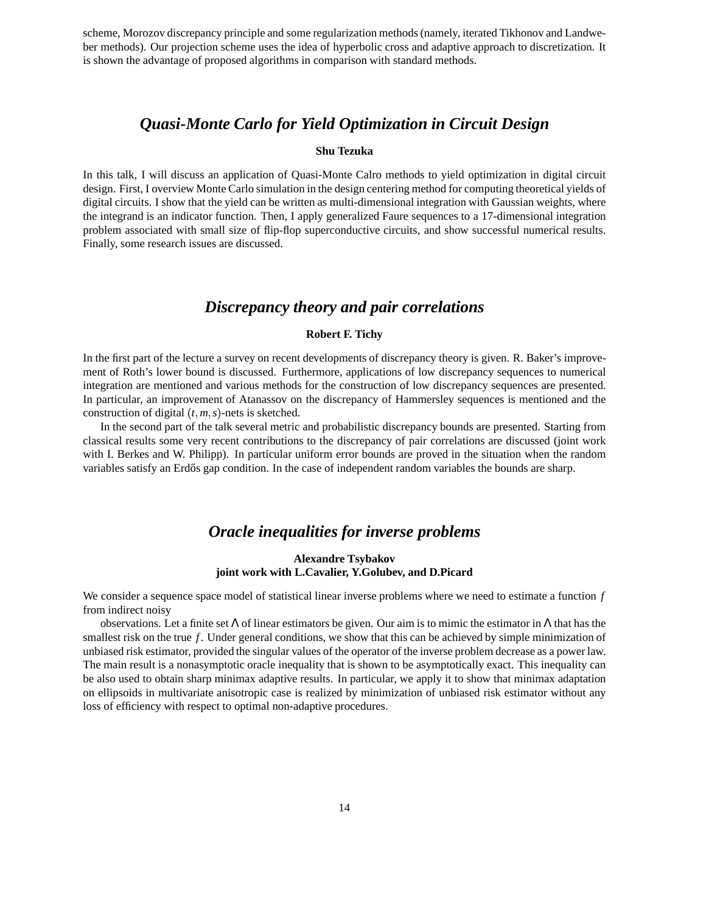scheme, Morozov discrepancy principle and some regularization methods (namely, iterated Tikhonov and Landweber methods). Our projection scheme uses the idea of hyperbolic cross and adaptive approach to discretization. It is shown the advantage of proposed algorithms in comparison with standard methods.

### *Quasi-Monte Carlo for Yield Optimization in Circuit Design*

#### **Shu Tezuka**

In this talk, I will discuss an application of Quasi-Monte Calro methods to yield optimization in digital circuit design. First, I overview Monte Carlo simulation in the design centering method for computing theoretical yields of digital circuits. I show that the yield can be written as multi-dimensional integration with Gaussian weights, where the integrand is an indicator function. Then, I apply generalized Faure sequences to a 17-dimensional integration problem associated with small size of flip-flop superconductive circuits, and show successful numerical results. Finally, some research issues are discussed.

### *Discrepancy theory and pair correlations*

#### **Robert F. Tichy**

In the first part of the lecture a survey on recent developments of discrepancy theory is given. R. Baker's improvement of Roth's lower bound is discussed. Furthermore, applications of low discrepancy sequences to numerical integration are mentioned and various methods for the construction of low discrepancy sequences are presented. In particular, an improvement of Atanassov on the discrepancy of Hammersley sequences is mentioned and the construction of digital  $(t, m, s)$ -nets is sketched.

In the second part of the talk several metric and probabilistic discrepancy bounds are presented. Starting from classical results some very recent contributions to the discrepancy of pair correlations are discussed (joint work with I. Berkes and W. Philipp). In particular uniform error bounds are proved in the situation when the random variables satisfy an Erdős gap condition. In the case of independent random variables the bounds are sharp.

### *Oracle inequalities for inverse problems*

#### **Alexandre Tsybakov joint work with L.Cavalier, Y.Golubev, and D.Picard**

We consider a sequence space model of statistical linear inverse problems where we need to estimate a function *f* from indirect noisy

observations. Let a finite set  $\Lambda$  of linear estimators be given. Our aim is to mimic the estimator in  $\Lambda$  that has the smallest risk on the true *f*. Under general conditions, we show that this can be achieved by simple minimization of unbiased risk estimator, provided the singular values of the operator of the inverse problem decrease as a power law. The main result is a nonasymptotic oracle inequality that is shown to be asymptotically exact. This inequality can be also used to obtain sharp minimax adaptive results. In particular, we apply it to show that minimax adaptation on ellipsoids in multivariate anisotropic case is realized by minimization of unbiased risk estimator without any loss of efficiency with respect to optimal non-adaptive procedures.